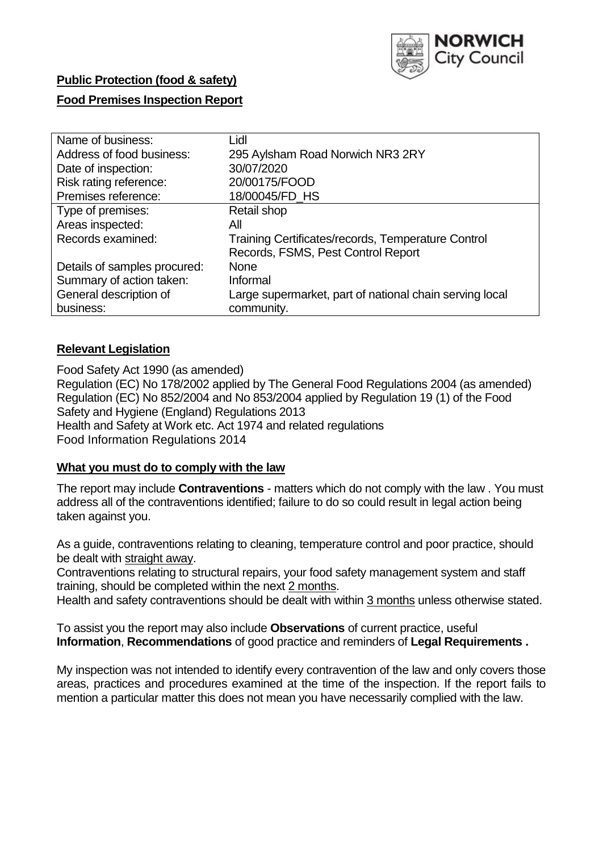

# **Public Protection (food & safety)**

# **Food Premises Inspection Report**

| Name of business:            | Lidl                                                    |
|------------------------------|---------------------------------------------------------|
| Address of food business:    | 295 Aylsham Road Norwich NR3 2RY                        |
| Date of inspection:          | 30/07/2020                                              |
| Risk rating reference:       | 20/00175/FOOD                                           |
| Premises reference:          | 18/00045/FD_HS                                          |
| Type of premises:            | Retail shop                                             |
| Areas inspected:             | All                                                     |
| Records examined:            | Training Certificates/records, Temperature Control      |
|                              | Records, FSMS, Pest Control Report                      |
| Details of samples procured: | <b>None</b>                                             |
| Summary of action taken:     | Informal                                                |
| General description of       | Large supermarket, part of national chain serving local |
| business:                    | community.                                              |

# **Relevant Legislation**

 Food Safety Act 1990 (as amended) Regulation (EC) No 178/2002 applied by The General Food Regulations 2004 (as amended) Regulation (EC) No 852/2004 and No 853/2004 applied by Regulation 19 (1) of the Food Safety and Hygiene (England) Regulations 2013 Health and Safety at Work etc. Act 1974 and related regulations Food Information Regulations 2014

## **What you must do to comply with the law**

 The report may include **Contraventions** - matters which do not comply with the law . You must address all of the contraventions identified; failure to do so could result in legal action being taken against you.

 As a guide, contraventions relating to cleaning, temperature control and poor practice, should be dealt with straight away.

 Contraventions relating to structural repairs, your food safety management system and staff training, should be completed within the next 2 months.

Health and safety contraventions should be dealt with within 3 months unless otherwise stated.

 To assist you the report may also include **Observations** of current practice, useful **Information**, **Recommendations** of good practice and reminders of **Legal Requirements .** 

 My inspection was not intended to identify every contravention of the law and only covers those areas, practices and procedures examined at the time of the inspection. If the report fails to mention a particular matter this does not mean you have necessarily complied with the law.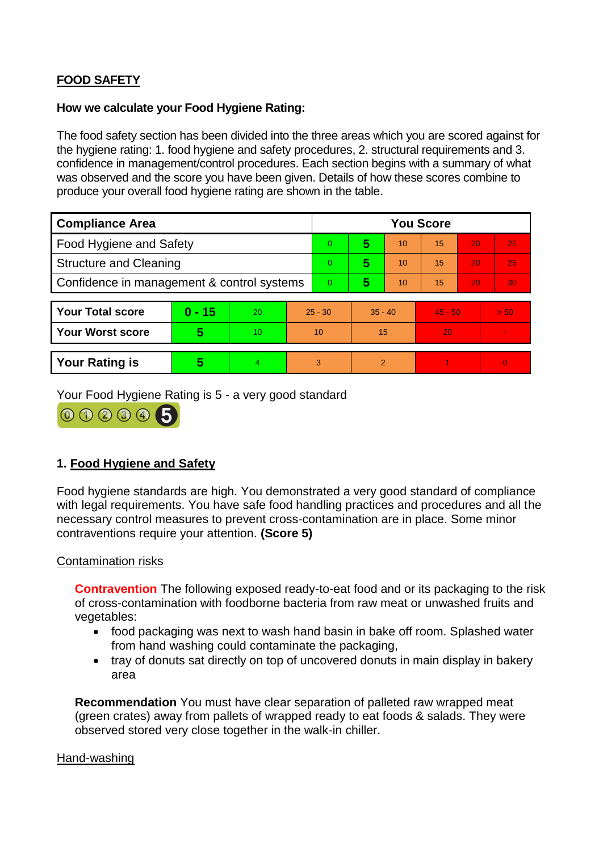# **FOOD SAFETY**

### **How we calculate your Food Hygiene Rating:**

 The food safety section has been divided into the three areas which you are scored against for the hygiene rating: 1. food hygiene and safety procedures, 2. structural requirements and 3. confidence in management/control procedures. Each section begins with a summary of what was observed and the score you have been given. Details of how these scores combine to produce your overall food hygiene rating are shown in the table.

| <b>Compliance Area</b>                     |          |    |           | <b>You Score</b> |           |    |           |    |                |  |  |
|--------------------------------------------|----------|----|-----------|------------------|-----------|----|-----------|----|----------------|--|--|
| Food Hygiene and Safety                    |          |    |           | 0                | 5         | 10 | 15        | 20 | 25             |  |  |
| <b>Structure and Cleaning</b>              |          |    | $\Omega$  | 5                | 10        | 15 | 20        | 25 |                |  |  |
| Confidence in management & control systems |          |    | $\Omega$  | 5                | 10        | 15 | 20        | 30 |                |  |  |
|                                            |          |    |           |                  |           |    |           |    |                |  |  |
| <b>Your Total score</b>                    | $0 - 15$ | 20 | $25 - 30$ |                  | $35 - 40$ |    | $45 - 50$ |    | > 50           |  |  |
| Your Worst score                           | 5        | 10 | 10        |                  | 15        |    | 20        |    | $\blacksquare$ |  |  |
|                                            |          |    |           |                  |           |    |           |    |                |  |  |
| <b>Your Rating is</b>                      | 5        | 4. | 3         |                  | 2         |    |           |    | $\overline{0}$ |  |  |

Your Food Hygiene Rating is 5 - a very good standard



# **1. Food Hygiene and Safety**

 with legal requirements. You have safe food handling practices and procedures and all the Food hygiene standards are high. You demonstrated a very good standard of compliance necessary control measures to prevent cross-contamination are in place. Some minor contraventions require your attention. **(Score 5)** 

## Contamination risks

 of cross-contamination with foodborne bacteria from raw meat or unwashed fruits and **Contravention** The following exposed ready-to-eat food and or its packaging to the risk vegetables:

- food packaging was next to wash hand basin in bake off room. Splashed water from hand washing could contaminate the packaging,
- tray of donuts sat directly on top of uncovered donuts in main display in bakery area

 **Recommendation** You must have clear separation of palleted raw wrapped meat (green crates) away from pallets of wrapped ready to eat foods & salads. They were observed stored very close together in the walk-in chiller.

#### Hand-washing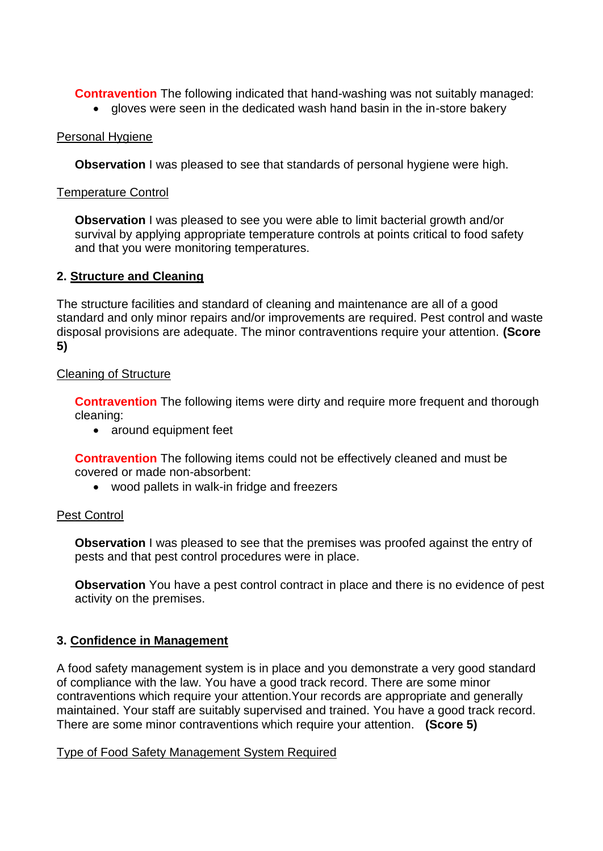**Contravention** The following indicated that hand-washing was not suitably managed:

• gloves were seen in the dedicated wash hand basin in the in-store bakery

## Personal Hygiene

**Observation** I was pleased to see that standards of personal hygiene were high.

## Temperature Control

 survival by applying appropriate temperature controls at points critical to food safety **Observation** I was pleased to see you were able to limit bacterial growth and/or and that you were monitoring temperatures.

# **2. Structure and Cleaning**

The structure facilities and standard of cleaning and maintenance are all of a good standard and only minor repairs and/or improvements are required. Pest control and waste disposal provisions are adequate. The minor contraventions require your attention. **(Score 5)** 

# Cleaning of Structure

**Contravention** The following items were dirty and require more frequent and thorough cleaning:

• around equipment feet

 **Contravention** The following items could not be effectively cleaned and must be covered or made non-absorbent:

wood pallets in walk-in fridge and freezers

## Pest Control

**Observation** I was pleased to see that the premises was proofed against the entry of pests and that pest control procedures were in place.

 **Observation** You have a pest control contract in place and there is no evidence of pest activity on the premises.

# **3. Confidence in Management**

A food safety management system is in place and you demonstrate a very good standard of compliance with the law. You have a good track record. There are some minor contraventions which require your attention.Your records are appropriate and generally maintained. Your staff are suitably supervised and trained. You have a good track record. There are some minor contraventions which require your attention. **(Score 5)** 

## Type of Food Safety Management System Required